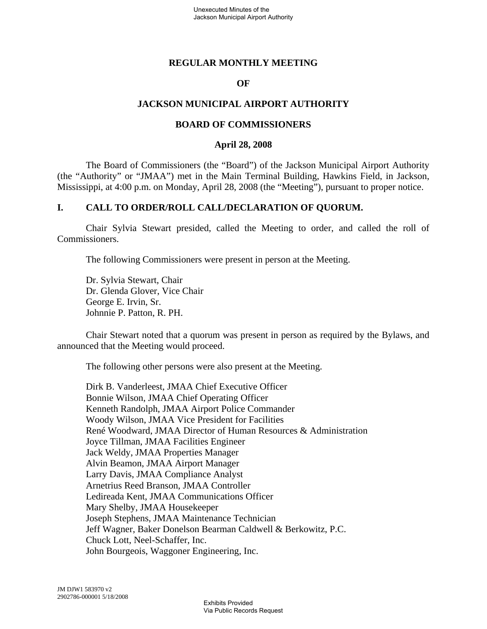## **REGULAR MONTHLY MEETING**

### **OF**

## **JACKSON MUNICIPAL AIRPORT AUTHORITY**

### **BOARD OF COMMISSIONERS**

#### **April 28, 2008**

The Board of Commissioners (the "Board") of the Jackson Municipal Airport Authority (the "Authority" or "JMAA") met in the Main Terminal Building, Hawkins Field, in Jackson, Mississippi, at 4:00 p.m. on Monday, April 28, 2008 (the "Meeting"), pursuant to proper notice.

## **I. CALL TO ORDER/ROLL CALL/DECLARATION OF QUORUM.**

Chair Sylvia Stewart presided, called the Meeting to order, and called the roll of Commissioners.

The following Commissioners were present in person at the Meeting.

Dr. Sylvia Stewart, Chair Dr. Glenda Glover, Vice Chair George E. Irvin, Sr. Johnnie P. Patton, R. PH.

Chair Stewart noted that a quorum was present in person as required by the Bylaws, and announced that the Meeting would proceed.

The following other persons were also present at the Meeting.

Dirk B. Vanderleest, JMAA Chief Executive Officer Bonnie Wilson, JMAA Chief Operating Officer Kenneth Randolph, JMAA Airport Police Commander Woody Wilson, JMAA Vice President for Facilities René Woodward, JMAA Director of Human Resources & Administration Joyce Tillman, JMAA Facilities Engineer Jack Weldy, JMAA Properties Manager Alvin Beamon, JMAA Airport Manager Larry Davis, JMAA Compliance Analyst Arnetrius Reed Branson, JMAA Controller Ledireada Kent, JMAA Communications Officer Mary Shelby, JMAA Housekeeper Joseph Stephens, JMAA Maintenance Technician Jeff Wagner, Baker Donelson Bearman Caldwell & Berkowitz, P.C. Chuck Lott, Neel-Schaffer, Inc. John Bourgeois, Waggoner Engineering, Inc.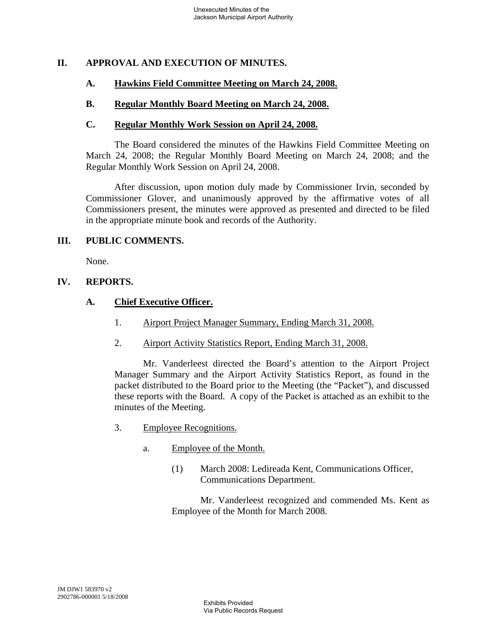# **II. APPROVAL AND EXECUTION OF MINUTES.**

### **A. Hawkins Field Committee Meeting on March 24, 2008.**

### **B. Regular Monthly Board Meeting on March 24, 2008.**

#### **C. Regular Monthly Work Session on April 24, 2008.**

The Board considered the minutes of the Hawkins Field Committee Meeting on March 24, 2008; the Regular Monthly Board Meeting on March 24, 2008; and the Regular Monthly Work Session on April 24, 2008.

After discussion, upon motion duly made by Commissioner Irvin, seconded by Commissioner Glover, and unanimously approved by the affirmative votes of all Commissioners present, the minutes were approved as presented and directed to be filed in the appropriate minute book and records of the Authority.

### **III. PUBLIC COMMENTS.**

None.

### **IV. REPORTS.**

### **A. Chief Executive Officer.**

- 1. Airport Project Manager Summary, Ending March 31, 2008.
- 2. Airport Activity Statistics Report, Ending March 31, 2008.

Mr. Vanderleest directed the Board's attention to the Airport Project Manager Summary and the Airport Activity Statistics Report, as found in the packet distributed to the Board prior to the Meeting (the "Packet"), and discussed these reports with the Board. A copy of the Packet is attached as an exhibit to the minutes of the Meeting.

- 3. Employee Recognitions.
	- a. Employee of the Month.
		- (1) March 2008: Ledireada Kent, Communications Officer, Communications Department.

Mr. Vanderleest recognized and commended Ms. Kent as Employee of the Month for March 2008.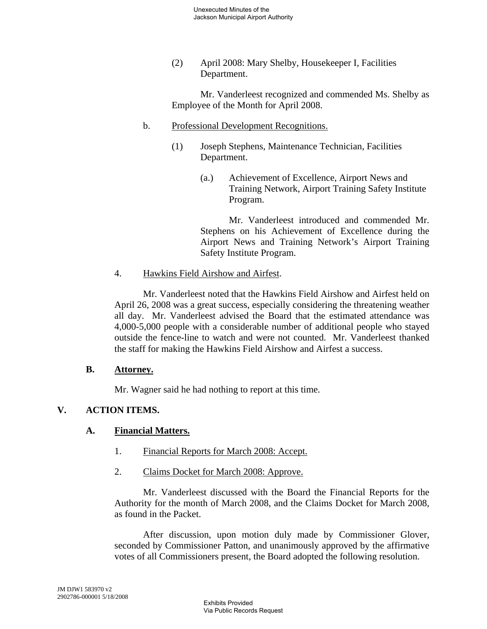(2) April 2008: Mary Shelby, Housekeeper I, Facilities Department.

Mr. Vanderleest recognized and commended Ms. Shelby as Employee of the Month for April 2008.

- b. Professional Development Recognitions.
	- (1) Joseph Stephens, Maintenance Technician, Facilities Department.
		- (a.) Achievement of Excellence, Airport News and Training Network, Airport Training Safety Institute Program.

Mr. Vanderleest introduced and commended Mr. Stephens on his Achievement of Excellence during the Airport News and Training Network's Airport Training Safety Institute Program.

4. Hawkins Field Airshow and Airfest.

Mr. Vanderleest noted that the Hawkins Field Airshow and Airfest held on April 26, 2008 was a great success, especially considering the threatening weather all day. Mr. Vanderleest advised the Board that the estimated attendance was 4,000-5,000 people with a considerable number of additional people who stayed outside the fence-line to watch and were not counted. Mr. Vanderleest thanked the staff for making the Hawkins Field Airshow and Airfest a success.

# **B. Attorney.**

Mr. Wagner said he had nothing to report at this time.

# **V. ACTION ITEMS.**

# **A. Financial Matters.**

- 1. Financial Reports for March 2008: Accept.
- 2. Claims Docket for March 2008: Approve.

Mr. Vanderleest discussed with the Board the Financial Reports for the Authority for the month of March 2008, and the Claims Docket for March 2008, as found in the Packet.

After discussion, upon motion duly made by Commissioner Glover, seconded by Commissioner Patton, and unanimously approved by the affirmative votes of all Commissioners present, the Board adopted the following resolution.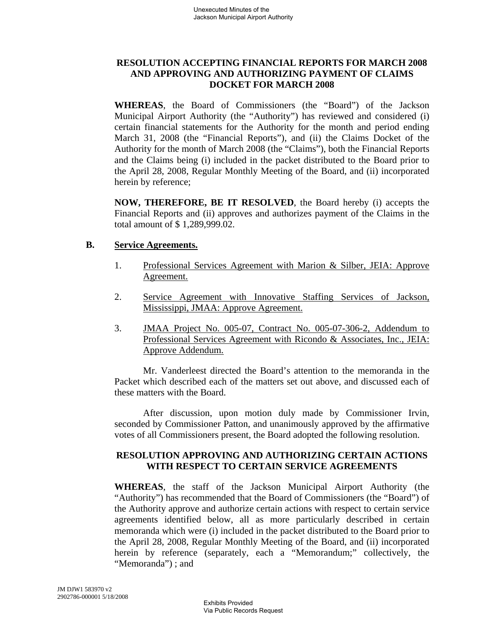# **RESOLUTION ACCEPTING FINANCIAL REPORTS FOR MARCH 2008 AND APPROVING AND AUTHORIZING PAYMENT OF CLAIMS DOCKET FOR MARCH 2008**

**WHEREAS**, the Board of Commissioners (the "Board") of the Jackson Municipal Airport Authority (the "Authority") has reviewed and considered (i) certain financial statements for the Authority for the month and period ending March 31, 2008 (the "Financial Reports"), and (ii) the Claims Docket of the Authority for the month of March 2008 (the "Claims"), both the Financial Reports and the Claims being (i) included in the packet distributed to the Board prior to the April 28, 2008, Regular Monthly Meeting of the Board, and (ii) incorporated herein by reference;

**NOW, THEREFORE, BE IT RESOLVED**, the Board hereby (i) accepts the Financial Reports and (ii) approves and authorizes payment of the Claims in the total amount of \$ 1,289,999.02.

## **B. Service Agreements.**

- 1. Professional Services Agreement with Marion & Silber, JEIA: Approve Agreement.
- 2. Service Agreement with Innovative Staffing Services of Jackson, Mississippi, JMAA: Approve Agreement.
- 3. JMAA Project No. 005-07, Contract No. 005-07-306-2, Addendum to Professional Services Agreement with Ricondo & Associates, Inc., JEIA: Approve Addendum.

Mr. Vanderleest directed the Board's attention to the memoranda in the Packet which described each of the matters set out above, and discussed each of these matters with the Board.

After discussion, upon motion duly made by Commissioner Irvin, seconded by Commissioner Patton, and unanimously approved by the affirmative votes of all Commissioners present, the Board adopted the following resolution.

# **RESOLUTION APPROVING AND AUTHORIZING CERTAIN ACTIONS WITH RESPECT TO CERTAIN SERVICE AGREEMENTS**

**WHEREAS**, the staff of the Jackson Municipal Airport Authority (the "Authority") has recommended that the Board of Commissioners (the "Board") of the Authority approve and authorize certain actions with respect to certain service agreements identified below, all as more particularly described in certain memoranda which were (i) included in the packet distributed to the Board prior to the April 28, 2008, Regular Monthly Meeting of the Board, and (ii) incorporated herein by reference (separately, each a "Memorandum;" collectively, the "Memoranda") ; and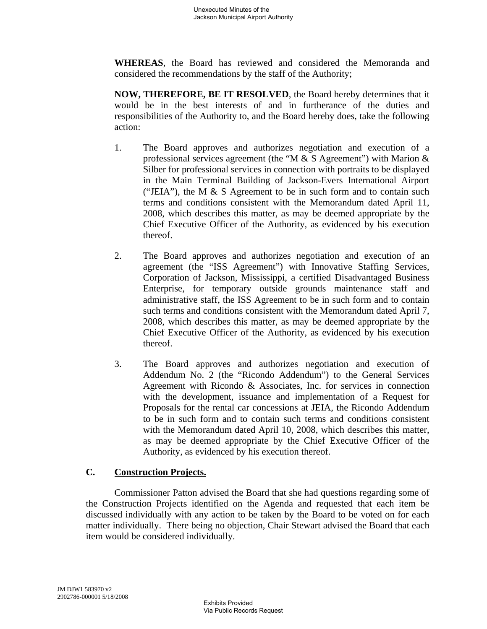**WHEREAS**, the Board has reviewed and considered the Memoranda and considered the recommendations by the staff of the Authority;

**NOW, THEREFORE, BE IT RESOLVED**, the Board hereby determines that it would be in the best interests of and in furtherance of the duties and responsibilities of the Authority to, and the Board hereby does, take the following action:

- 1. The Board approves and authorizes negotiation and execution of a professional services agreement (the "M & S Agreement") with Marion & Silber for professional services in connection with portraits to be displayed in the Main Terminal Building of Jackson-Evers International Airport ("JEIA"), the M & S Agreement to be in such form and to contain such terms and conditions consistent with the Memorandum dated April 11, 2008, which describes this matter, as may be deemed appropriate by the Chief Executive Officer of the Authority, as evidenced by his execution thereof.
- 2. The Board approves and authorizes negotiation and execution of an agreement (the "ISS Agreement") with Innovative Staffing Services, Corporation of Jackson, Mississippi, a certified Disadvantaged Business Enterprise, for temporary outside grounds maintenance staff and administrative staff, the ISS Agreement to be in such form and to contain such terms and conditions consistent with the Memorandum dated April 7, 2008, which describes this matter, as may be deemed appropriate by the Chief Executive Officer of the Authority, as evidenced by his execution thereof.
- 3. The Board approves and authorizes negotiation and execution of Addendum No. 2 (the "Ricondo Addendum") to the General Services Agreement with Ricondo & Associates, Inc. for services in connection with the development, issuance and implementation of a Request for Proposals for the rental car concessions at JEIA, the Ricondo Addendum to be in such form and to contain such terms and conditions consistent with the Memorandum dated April 10, 2008, which describes this matter, as may be deemed appropriate by the Chief Executive Officer of the Authority, as evidenced by his execution thereof.

# **C. Construction Projects.**

Commissioner Patton advised the Board that she had questions regarding some of the Construction Projects identified on the Agenda and requested that each item be discussed individually with any action to be taken by the Board to be voted on for each matter individually. There being no objection, Chair Stewart advised the Board that each item would be considered individually.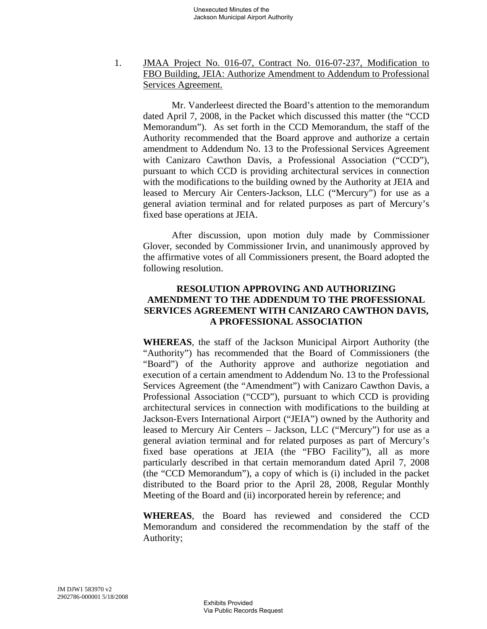1. JMAA Project No. 016-07, Contract No. 016-07-237, Modification to FBO Building, JEIA: Authorize Amendment to Addendum to Professional Services Agreement.

Mr. Vanderleest directed the Board's attention to the memorandum dated April 7, 2008, in the Packet which discussed this matter (the "CCD Memorandum"). As set forth in the CCD Memorandum, the staff of the Authority recommended that the Board approve and authorize a certain amendment to Addendum No. 13 to the Professional Services Agreement with Canizaro Cawthon Davis, a Professional Association ("CCD"), pursuant to which CCD is providing architectural services in connection with the modifications to the building owned by the Authority at JEIA and leased to Mercury Air Centers-Jackson, LLC ("Mercury") for use as a general aviation terminal and for related purposes as part of Mercury's fixed base operations at JEIA.

After discussion, upon motion duly made by Commissioner Glover, seconded by Commissioner Irvin, and unanimously approved by the affirmative votes of all Commissioners present, the Board adopted the following resolution.

## **RESOLUTION APPROVING AND AUTHORIZING AMENDMENT TO THE ADDENDUM TO THE PROFESSIONAL SERVICES AGREEMENT WITH CANIZARO CAWTHON DAVIS, A PROFESSIONAL ASSOCIATION**

**WHEREAS**, the staff of the Jackson Municipal Airport Authority (the "Authority") has recommended that the Board of Commissioners (the "Board") of the Authority approve and authorize negotiation and execution of a certain amendment to Addendum No. 13 to the Professional Services Agreement (the "Amendment") with Canizaro Cawthon Davis, a Professional Association ("CCD"), pursuant to which CCD is providing architectural services in connection with modifications to the building at Jackson-Evers International Airport ("JEIA") owned by the Authority and leased to Mercury Air Centers – Jackson, LLC ("Mercury") for use as a general aviation terminal and for related purposes as part of Mercury's fixed base operations at JEIA (the "FBO Facility"), all as more particularly described in that certain memorandum dated April 7, 2008 (the "CCD Memorandum"), a copy of which is (i) included in the packet distributed to the Board prior to the April 28, 2008, Regular Monthly Meeting of the Board and (ii) incorporated herein by reference; and

**WHEREAS**, the Board has reviewed and considered the CCD Memorandum and considered the recommendation by the staff of the Authority;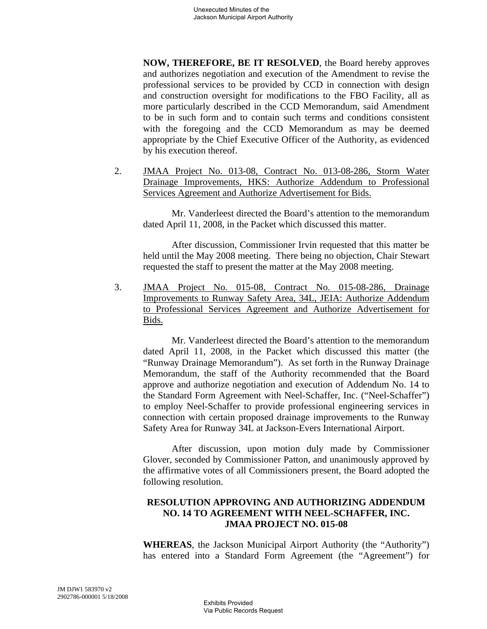**NOW, THEREFORE, BE IT RESOLVED**, the Board hereby approves and authorizes negotiation and execution of the Amendment to revise the professional services to be provided by CCD in connection with design and construction oversight for modifications to the FBO Facility, all as more particularly described in the CCD Memorandum, said Amendment to be in such form and to contain such terms and conditions consistent with the foregoing and the CCD Memorandum as may be deemed appropriate by the Chief Executive Officer of the Authority, as evidenced by his execution thereof.

2. JMAA Project No. 013-08, Contract No. 013-08-286, Storm Water Drainage Improvements, HKS: Authorize Addendum to Professional Services Agreement and Authorize Advertisement for Bids.

Mr. Vanderleest directed the Board's attention to the memorandum dated April 11, 2008, in the Packet which discussed this matter.

After discussion, Commissioner Irvin requested that this matter be held until the May 2008 meeting. There being no objection, Chair Stewart requested the staff to present the matter at the May 2008 meeting.

3. JMAA Project No. 015-08, Contract No. 015-08-286, Drainage Improvements to Runway Safety Area, 34L, JEIA: Authorize Addendum to Professional Services Agreement and Authorize Advertisement for Bids.

Mr. Vanderleest directed the Board's attention to the memorandum dated April 11, 2008, in the Packet which discussed this matter (the "Runway Drainage Memorandum"). As set forth in the Runway Drainage Memorandum, the staff of the Authority recommended that the Board approve and authorize negotiation and execution of Addendum No. 14 to the Standard Form Agreement with Neel-Schaffer, Inc. ("Neel-Schaffer") to employ Neel-Schaffer to provide professional engineering services in connection with certain proposed drainage improvements to the Runway Safety Area for Runway 34L at Jackson-Evers International Airport.

After discussion, upon motion duly made by Commissioner Glover, seconded by Commissioner Patton, and unanimously approved by the affirmative votes of all Commissioners present, the Board adopted the following resolution.

# **RESOLUTION APPROVING AND AUTHORIZING ADDENDUM NO. 14 TO AGREEMENT WITH NEEL-SCHAFFER, INC. JMAA PROJECT NO. 015-08**

**WHEREAS**, the Jackson Municipal Airport Authority (the "Authority") has entered into a Standard Form Agreement (the "Agreement") for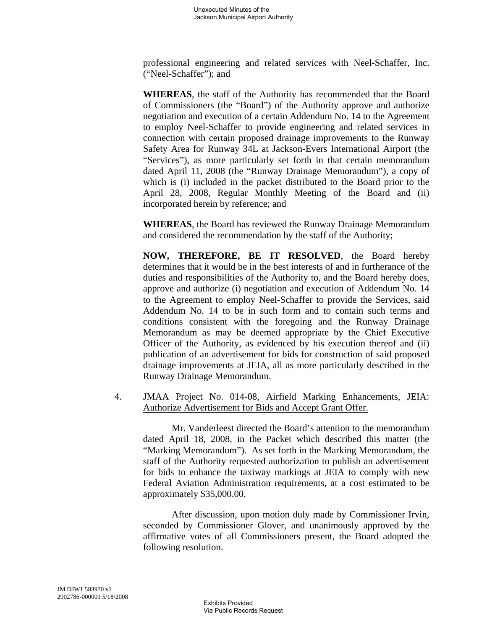professional engineering and related services with Neel-Schaffer, Inc. ("Neel-Schaffer"); and

**WHEREAS**, the staff of the Authority has recommended that the Board of Commissioners (the "Board") of the Authority approve and authorize negotiation and execution of a certain Addendum No. 14 to the Agreement to employ Neel-Schaffer to provide engineering and related services in connection with certain proposed drainage improvements to the Runway Safety Area for Runway 34L at Jackson-Evers International Airport (the "Services"), as more particularly set forth in that certain memorandum dated April 11, 2008 (the "Runway Drainage Memorandum"), a copy of which is (i) included in the packet distributed to the Board prior to the April 28, 2008, Regular Monthly Meeting of the Board and (ii) incorporated herein by reference; and

**WHEREAS**, the Board has reviewed the Runway Drainage Memorandum and considered the recommendation by the staff of the Authority;

**NOW, THEREFORE, BE IT RESOLVED**, the Board hereby determines that it would be in the best interests of and in furtherance of the duties and responsibilities of the Authority to, and the Board hereby does, approve and authorize (i) negotiation and execution of Addendum No. 14 to the Agreement to employ Neel-Schaffer to provide the Services, said Addendum No. 14 to be in such form and to contain such terms and conditions consistent with the foregoing and the Runway Drainage Memorandum as may be deemed appropriate by the Chief Executive Officer of the Authority, as evidenced by his execution thereof and (ii) publication of an advertisement for bids for construction of said proposed drainage improvements at JEIA, all as more particularly described in the Runway Drainage Memorandum.

4. JMAA Project No. 014-08, Airfield Marking Enhancements, JEIA: Authorize Advertisement for Bids and Accept Grant Offer.

Mr. Vanderleest directed the Board's attention to the memorandum dated April 18, 2008, in the Packet which described this matter (the "Marking Memorandum"). As set forth in the Marking Memorandum, the staff of the Authority requested authorization to publish an advertisement for bids to enhance the taxiway markings at JEIA to comply with new Federal Aviation Administration requirements, at a cost estimated to be approximately \$35,000.00.

After discussion, upon motion duly made by Commissioner Irvin, seconded by Commissioner Glover, and unanimously approved by the affirmative votes of all Commissioners present, the Board adopted the following resolution.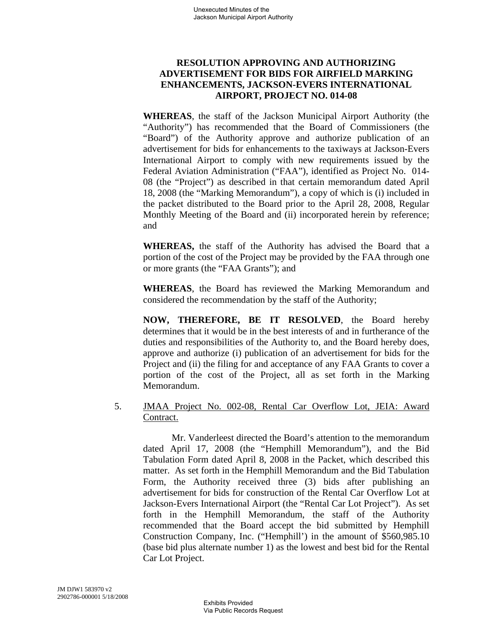# **RESOLUTION APPROVING AND AUTHORIZING ADVERTISEMENT FOR BIDS FOR AIRFIELD MARKING ENHANCEMENTS, JACKSON-EVERS INTERNATIONAL AIRPORT, PROJECT NO. 014-08**

**WHEREAS**, the staff of the Jackson Municipal Airport Authority (the "Authority") has recommended that the Board of Commissioners (the "Board") of the Authority approve and authorize publication of an advertisement for bids for enhancements to the taxiways at Jackson-Evers International Airport to comply with new requirements issued by the Federal Aviation Administration ("FAA"), identified as Project No. 014- 08 (the "Project") as described in that certain memorandum dated April 18, 2008 (the "Marking Memorandum"), a copy of which is (i) included in the packet distributed to the Board prior to the April 28, 2008, Regular Monthly Meeting of the Board and (ii) incorporated herein by reference; and

**WHEREAS,** the staff of the Authority has advised the Board that a portion of the cost of the Project may be provided by the FAA through one or more grants (the "FAA Grants"); and

**WHEREAS**, the Board has reviewed the Marking Memorandum and considered the recommendation by the staff of the Authority;

**NOW, THEREFORE, BE IT RESOLVED**, the Board hereby determines that it would be in the best interests of and in furtherance of the duties and responsibilities of the Authority to, and the Board hereby does, approve and authorize (i) publication of an advertisement for bids for the Project and (ii) the filing for and acceptance of any FAA Grants to cover a portion of the cost of the Project, all as set forth in the Marking Memorandum.

# 5. JMAA Project No. 002-08, Rental Car Overflow Lot, JEIA: Award Contract.

Mr. Vanderleest directed the Board's attention to the memorandum dated April 17, 2008 (the "Hemphill Memorandum"), and the Bid Tabulation Form dated April 8, 2008 in the Packet, which described this matter. As set forth in the Hemphill Memorandum and the Bid Tabulation Form, the Authority received three (3) bids after publishing an advertisement for bids for construction of the Rental Car Overflow Lot at Jackson-Evers International Airport (the "Rental Car Lot Project"). As set forth in the Hemphill Memorandum, the staff of the Authority recommended that the Board accept the bid submitted by Hemphill Construction Company, Inc. ("Hemphill') in the amount of \$560,985.10 (base bid plus alternate number 1) as the lowest and best bid for the Rental Car Lot Project.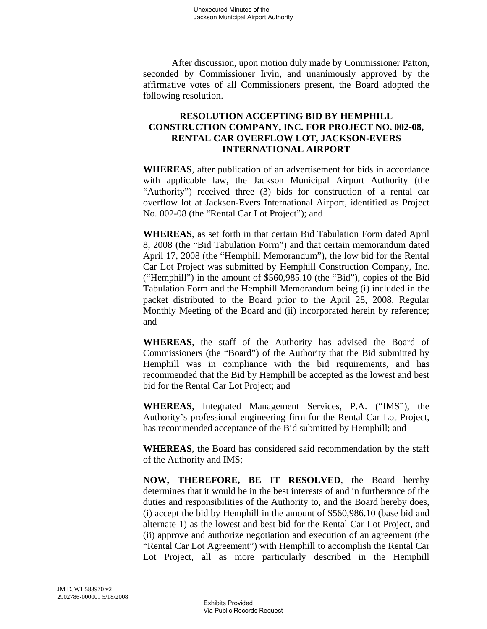After discussion, upon motion duly made by Commissioner Patton, seconded by Commissioner Irvin, and unanimously approved by the affirmative votes of all Commissioners present, the Board adopted the following resolution.

# **RESOLUTION ACCEPTING BID BY HEMPHILL CONSTRUCTION COMPANY, INC. FOR PROJECT NO. 002-08, RENTAL CAR OVERFLOW LOT, JACKSON-EVERS INTERNATIONAL AIRPORT**

**WHEREAS**, after publication of an advertisement for bids in accordance with applicable law, the Jackson Municipal Airport Authority (the "Authority") received three (3) bids for construction of a rental car overflow lot at Jackson-Evers International Airport, identified as Project No. 002-08 (the "Rental Car Lot Project"); and

**WHEREAS**, as set forth in that certain Bid Tabulation Form dated April 8, 2008 (the "Bid Tabulation Form") and that certain memorandum dated April 17, 2008 (the "Hemphill Memorandum"), the low bid for the Rental Car Lot Project was submitted by Hemphill Construction Company, Inc. ("Hemphill") in the amount of \$560,985.10 (the "Bid"), copies of the Bid Tabulation Form and the Hemphill Memorandum being (i) included in the packet distributed to the Board prior to the April 28, 2008, Regular Monthly Meeting of the Board and (ii) incorporated herein by reference; and

**WHEREAS**, the staff of the Authority has advised the Board of Commissioners (the "Board") of the Authority that the Bid submitted by Hemphill was in compliance with the bid requirements, and has recommended that the Bid by Hemphill be accepted as the lowest and best bid for the Rental Car Lot Project; and

**WHEREAS**, Integrated Management Services, P.A. ("IMS"), the Authority's professional engineering firm for the Rental Car Lot Project, has recommended acceptance of the Bid submitted by Hemphill; and

**WHEREAS**, the Board has considered said recommendation by the staff of the Authority and IMS;

**NOW, THEREFORE, BE IT RESOLVED**, the Board hereby determines that it would be in the best interests of and in furtherance of the duties and responsibilities of the Authority to, and the Board hereby does, (i) accept the bid by Hemphill in the amount of \$560,986.10 (base bid and alternate 1) as the lowest and best bid for the Rental Car Lot Project, and (ii) approve and authorize negotiation and execution of an agreement (the "Rental Car Lot Agreement") with Hemphill to accomplish the Rental Car Lot Project, all as more particularly described in the Hemphill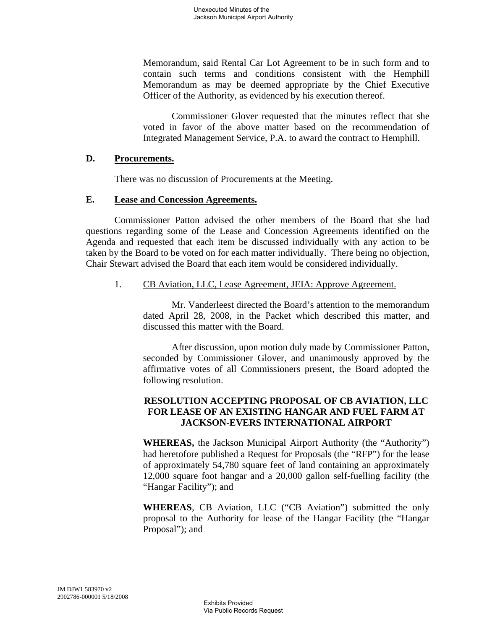Memorandum, said Rental Car Lot Agreement to be in such form and to contain such terms and conditions consistent with the Hemphill Memorandum as may be deemed appropriate by the Chief Executive Officer of the Authority, as evidenced by his execution thereof.

Commissioner Glover requested that the minutes reflect that she voted in favor of the above matter based on the recommendation of Integrated Management Service, P.A. to award the contract to Hemphill.

### **D. Procurements.**

There was no discussion of Procurements at the Meeting.

### **E. Lease and Concession Agreements.**

Commissioner Patton advised the other members of the Board that she had questions regarding some of the Lease and Concession Agreements identified on the Agenda and requested that each item be discussed individually with any action to be taken by the Board to be voted on for each matter individually. There being no objection, Chair Stewart advised the Board that each item would be considered individually.

## 1. CB Aviation, LLC, Lease Agreement, JEIA: Approve Agreement.

Mr. Vanderleest directed the Board's attention to the memorandum dated April 28, 2008, in the Packet which described this matter, and discussed this matter with the Board.

After discussion, upon motion duly made by Commissioner Patton, seconded by Commissioner Glover, and unanimously approved by the affirmative votes of all Commissioners present, the Board adopted the following resolution.

# **RESOLUTION ACCEPTING PROPOSAL OF CB AVIATION, LLC FOR LEASE OF AN EXISTING HANGAR AND FUEL FARM AT JACKSON-EVERS INTERNATIONAL AIRPORT**

**WHEREAS,** the Jackson Municipal Airport Authority (the "Authority") had heretofore published a Request for Proposals (the "RFP") for the lease of approximately 54,780 square feet of land containing an approximately 12,000 square foot hangar and a 20,000 gallon self-fuelling facility (the "Hangar Facility"); and

**WHEREAS**, CB Aviation, LLC ("CB Aviation") submitted the only proposal to the Authority for lease of the Hangar Facility (the "Hangar Proposal"); and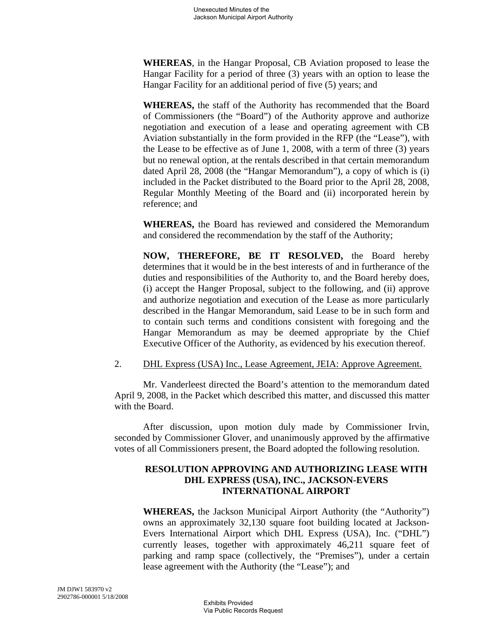**WHEREAS**, in the Hangar Proposal, CB Aviation proposed to lease the Hangar Facility for a period of three (3) years with an option to lease the Hangar Facility for an additional period of five (5) years; and

**WHEREAS,** the staff of the Authority has recommended that the Board of Commissioners (the "Board") of the Authority approve and authorize negotiation and execution of a lease and operating agreement with CB Aviation substantially in the form provided in the RFP (the "Lease"), with the Lease to be effective as of June 1, 2008, with a term of three (3) years but no renewal option, at the rentals described in that certain memorandum dated April 28, 2008 (the "Hangar Memorandum"), a copy of which is (i) included in the Packet distributed to the Board prior to the April 28, 2008, Regular Monthly Meeting of the Board and (ii) incorporated herein by reference; and

**WHEREAS,** the Board has reviewed and considered the Memorandum and considered the recommendation by the staff of the Authority;

**NOW, THEREFORE, BE IT RESOLVED,** the Board hereby determines that it would be in the best interests of and in furtherance of the duties and responsibilities of the Authority to, and the Board hereby does, (i) accept the Hanger Proposal, subject to the following, and (ii) approve and authorize negotiation and execution of the Lease as more particularly described in the Hangar Memorandum, said Lease to be in such form and to contain such terms and conditions consistent with foregoing and the Hangar Memorandum as may be deemed appropriate by the Chief Executive Officer of the Authority, as evidenced by his execution thereof.

### 2. DHL Express (USA) Inc., Lease Agreement, JEIA: Approve Agreement.

Mr. Vanderleest directed the Board's attention to the memorandum dated April 9, 2008, in the Packet which described this matter, and discussed this matter with the Board.

After discussion, upon motion duly made by Commissioner Irvin, seconded by Commissioner Glover, and unanimously approved by the affirmative votes of all Commissioners present, the Board adopted the following resolution.

## **RESOLUTION APPROVING AND AUTHORIZING LEASE WITH DHL EXPRESS (USA), INC., JACKSON-EVERS INTERNATIONAL AIRPORT**

**WHEREAS,** the Jackson Municipal Airport Authority (the "Authority") owns an approximately 32,130 square foot building located at Jackson-Evers International Airport which DHL Express (USA), Inc. ("DHL") currently leases, together with approximately 46,211 square feet of parking and ramp space (collectively, the "Premises"), under a certain lease agreement with the Authority (the "Lease"); and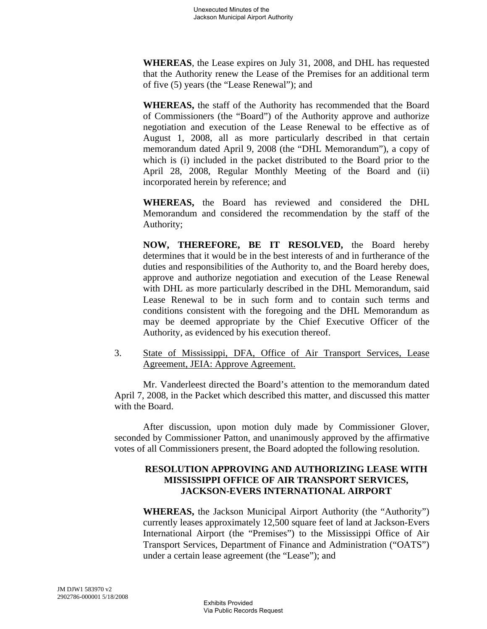**WHEREAS**, the Lease expires on July 31, 2008, and DHL has requested that the Authority renew the Lease of the Premises for an additional term of five (5) years (the "Lease Renewal"); and

**WHEREAS,** the staff of the Authority has recommended that the Board of Commissioners (the "Board") of the Authority approve and authorize negotiation and execution of the Lease Renewal to be effective as of August 1, 2008, all as more particularly described in that certain memorandum dated April 9, 2008 (the "DHL Memorandum"), a copy of which is (i) included in the packet distributed to the Board prior to the April 28, 2008, Regular Monthly Meeting of the Board and (ii) incorporated herein by reference; and

**WHEREAS,** the Board has reviewed and considered the DHL Memorandum and considered the recommendation by the staff of the Authority;

**NOW, THEREFORE, BE IT RESOLVED,** the Board hereby determines that it would be in the best interests of and in furtherance of the duties and responsibilities of the Authority to, and the Board hereby does, approve and authorize negotiation and execution of the Lease Renewal with DHL as more particularly described in the DHL Memorandum, said Lease Renewal to be in such form and to contain such terms and conditions consistent with the foregoing and the DHL Memorandum as may be deemed appropriate by the Chief Executive Officer of the Authority, as evidenced by his execution thereof.

3. State of Mississippi, DFA, Office of Air Transport Services, Lease Agreement, JEIA: Approve Agreement.

Mr. Vanderleest directed the Board's attention to the memorandum dated April 7, 2008, in the Packet which described this matter, and discussed this matter with the Board.

After discussion, upon motion duly made by Commissioner Glover, seconded by Commissioner Patton, and unanimously approved by the affirmative votes of all Commissioners present, the Board adopted the following resolution.

# **RESOLUTION APPROVING AND AUTHORIZING LEASE WITH MISSISSIPPI OFFICE OF AIR TRANSPORT SERVICES, JACKSON-EVERS INTERNATIONAL AIRPORT**

**WHEREAS,** the Jackson Municipal Airport Authority (the "Authority") currently leases approximately 12,500 square feet of land at Jackson-Evers International Airport (the "Premises") to the Mississippi Office of Air Transport Services, Department of Finance and Administration ("OATS") under a certain lease agreement (the "Lease"); and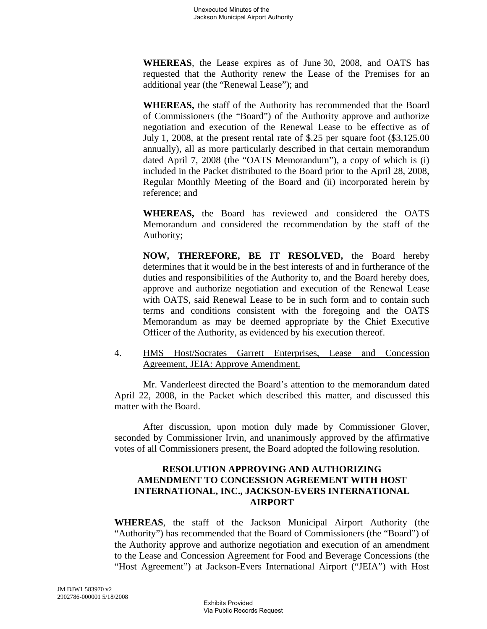**WHEREAS**, the Lease expires as of June 30, 2008, and OATS has requested that the Authority renew the Lease of the Premises for an additional year (the "Renewal Lease"); and

**WHEREAS,** the staff of the Authority has recommended that the Board of Commissioners (the "Board") of the Authority approve and authorize negotiation and execution of the Renewal Lease to be effective as of July 1, 2008, at the present rental rate of \$.25 per square foot (\$3,125.00 annually), all as more particularly described in that certain memorandum dated April 7, 2008 (the "OATS Memorandum"), a copy of which is (i) included in the Packet distributed to the Board prior to the April 28, 2008, Regular Monthly Meeting of the Board and (ii) incorporated herein by reference; and

**WHEREAS,** the Board has reviewed and considered the OATS Memorandum and considered the recommendation by the staff of the Authority;

**NOW, THEREFORE, BE IT RESOLVED,** the Board hereby determines that it would be in the best interests of and in furtherance of the duties and responsibilities of the Authority to, and the Board hereby does, approve and authorize negotiation and execution of the Renewal Lease with OATS, said Renewal Lease to be in such form and to contain such terms and conditions consistent with the foregoing and the OATS Memorandum as may be deemed appropriate by the Chief Executive Officer of the Authority, as evidenced by his execution thereof.

4. HMS Host/Socrates Garrett Enterprises, Lease and Concession Agreement, JEIA: Approve Amendment.

Mr. Vanderleest directed the Board's attention to the memorandum dated April 22, 2008, in the Packet which described this matter, and discussed this matter with the Board.

After discussion, upon motion duly made by Commissioner Glover, seconded by Commissioner Irvin, and unanimously approved by the affirmative votes of all Commissioners present, the Board adopted the following resolution.

### **RESOLUTION APPROVING AND AUTHORIZING AMENDMENT TO CONCESSION AGREEMENT WITH HOST INTERNATIONAL, INC., JACKSON-EVERS INTERNATIONAL AIRPORT**

**WHEREAS**, the staff of the Jackson Municipal Airport Authority (the "Authority") has recommended that the Board of Commissioners (the "Board") of the Authority approve and authorize negotiation and execution of an amendment to the Lease and Concession Agreement for Food and Beverage Concessions (the "Host Agreement") at Jackson-Evers International Airport ("JEIA") with Host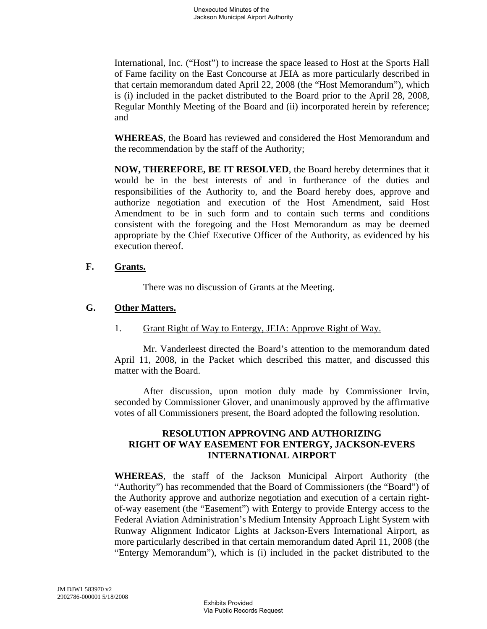International, Inc. ("Host") to increase the space leased to Host at the Sports Hall of Fame facility on the East Concourse at JEIA as more particularly described in that certain memorandum dated April 22, 2008 (the "Host Memorandum"), which is (i) included in the packet distributed to the Board prior to the April 28, 2008, Regular Monthly Meeting of the Board and (ii) incorporated herein by reference; and

**WHEREAS**, the Board has reviewed and considered the Host Memorandum and the recommendation by the staff of the Authority;

**NOW, THEREFORE, BE IT RESOLVED**, the Board hereby determines that it would be in the best interests of and in furtherance of the duties and responsibilities of the Authority to, and the Board hereby does, approve and authorize negotiation and execution of the Host Amendment, said Host Amendment to be in such form and to contain such terms and conditions consistent with the foregoing and the Host Memorandum as may be deemed appropriate by the Chief Executive Officer of the Authority, as evidenced by his execution thereof.

### **F. Grants.**

There was no discussion of Grants at the Meeting.

# **G. Other Matters.**

1. Grant Right of Way to Entergy, JEIA: Approve Right of Way.

Mr. Vanderleest directed the Board's attention to the memorandum dated April 11, 2008, in the Packet which described this matter, and discussed this matter with the Board.

After discussion, upon motion duly made by Commissioner Irvin, seconded by Commissioner Glover, and unanimously approved by the affirmative votes of all Commissioners present, the Board adopted the following resolution.

## **RESOLUTION APPROVING AND AUTHORIZING RIGHT OF WAY EASEMENT FOR ENTERGY, JACKSON-EVERS INTERNATIONAL AIRPORT**

**WHEREAS**, the staff of the Jackson Municipal Airport Authority (the "Authority") has recommended that the Board of Commissioners (the "Board") of the Authority approve and authorize negotiation and execution of a certain rightof-way easement (the "Easement") with Entergy to provide Entergy access to the Federal Aviation Administration's Medium Intensity Approach Light System with Runway Alignment Indicator Lights at Jackson-Evers International Airport, as more particularly described in that certain memorandum dated April 11, 2008 (the "Entergy Memorandum"), which is (i) included in the packet distributed to the